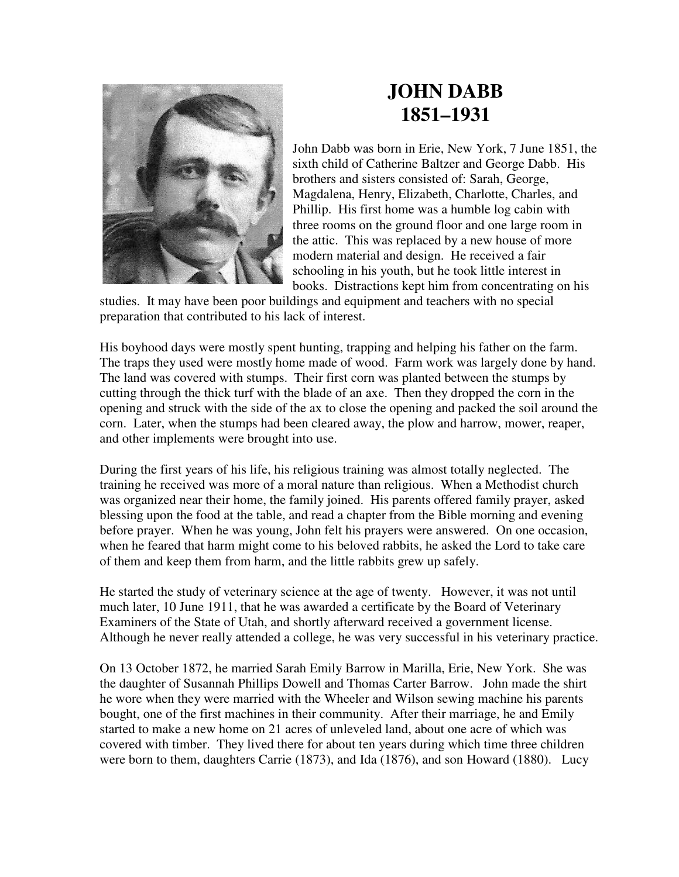

## **JOHN DABB 1851–1931**

John Dabb was born in Erie, New York, 7 June 1851, the sixth child of Catherine Baltzer and George Dabb. His brothers and sisters consisted of: Sarah, George, Magdalena, Henry, Elizabeth, Charlotte, Charles, and Phillip. His first home was a humble log cabin with three rooms on the ground floor and one large room in the attic. This was replaced by a new house of more modern material and design. He received a fair schooling in his youth, but he took little interest in books. Distractions kept him from concentrating on his

studies. It may have been poor buildings and equipment and teachers with no special preparation that contributed to his lack of interest.

His boyhood days were mostly spent hunting, trapping and helping his father on the farm. The traps they used were mostly home made of wood. Farm work was largely done by hand. The land was covered with stumps. Their first corn was planted between the stumps by cutting through the thick turf with the blade of an axe. Then they dropped the corn in the opening and struck with the side of the ax to close the opening and packed the soil around the corn. Later, when the stumps had been cleared away, the plow and harrow, mower, reaper, and other implements were brought into use.

During the first years of his life, his religious training was almost totally neglected. The training he received was more of a moral nature than religious. When a Methodist church was organized near their home, the family joined. His parents offered family prayer, asked blessing upon the food at the table, and read a chapter from the Bible morning and evening before prayer. When he was young, John felt his prayers were answered. On one occasion, when he feared that harm might come to his beloved rabbits, he asked the Lord to take care of them and keep them from harm, and the little rabbits grew up safely.

He started the study of veterinary science at the age of twenty. However, it was not until much later, 10 June 1911, that he was awarded a certificate by the Board of Veterinary Examiners of the State of Utah, and shortly afterward received a government license. Although he never really attended a college, he was very successful in his veterinary practice.

On 13 October 1872, he married Sarah Emily Barrow in Marilla, Erie, New York. She was the daughter of Susannah Phillips Dowell and Thomas Carter Barrow. John made the shirt he wore when they were married with the Wheeler and Wilson sewing machine his parents bought, one of the first machines in their community. After their marriage, he and Emily started to make a new home on 21 acres of unleveled land, about one acre of which was covered with timber. They lived there for about ten years during which time three children were born to them, daughters Carrie (1873), and Ida (1876), and son Howard (1880). Lucy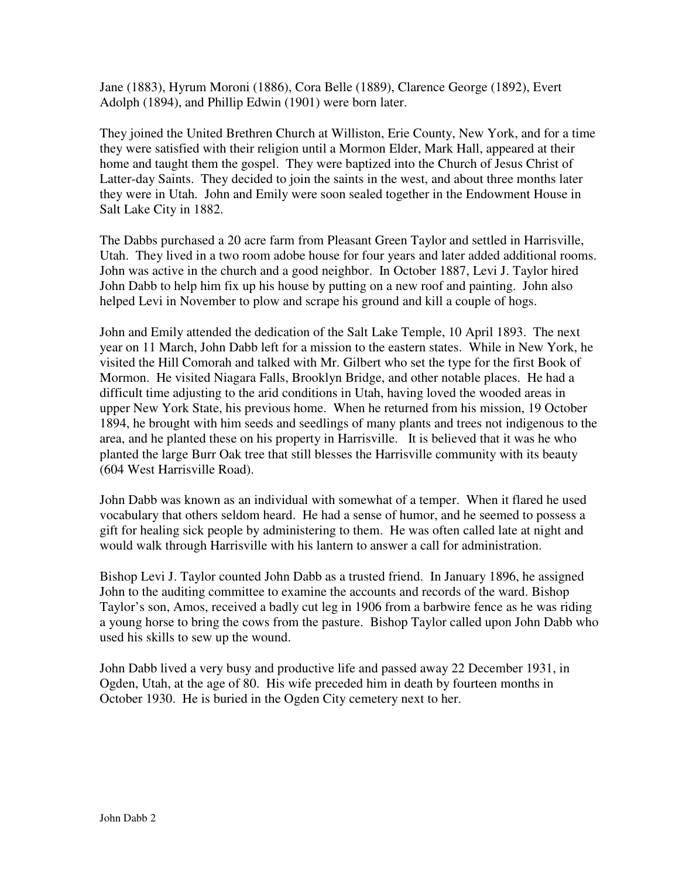Jane (1883), Hyrum Moroni (1886), Cora Belle (1889), Clarence George (1892), Evert Adolph (1894), and Phillip Edwin (1901) were born later.

They joined the United Brethren Church at Williston, Erie County, New York, and for a time they were satisfied with their religion until a Mormon Elder, Mark Hall, appeared at their home and taught them the gospel. They were baptized into the Church of Jesus Christ of Latter-day Saints. They decided to join the saints in the west, and about three months later they were in Utah. John and Emily were soon sealed together in the Endowment House in Salt Lake City in 1882.

The Dabbs purchased a 20 acre farm from Pleasant Green Taylor and settled in Harrisville, Utah. They lived in a two room adobe house for four years and later added additional rooms. John was active in the church and a good neighbor. In October 1887, Levi J. Taylor hired John Dabb to help him fix up his house by putting on a new roof and painting. John also helped Levi in November to plow and scrape his ground and kill a couple of hogs.

John and Emily attended the dedication of the Salt Lake Temple, 10 April 1893. The next year on 11 March, John Dabb left for a mission to the eastern states. While in New York, he visited the Hill Comorah and talked with Mr. Gilbert who set the type for the first Book of Mormon. He visited Niagara Falls, Brooklyn Bridge, and other notable places. He had a difficult time adjusting to the arid conditions in Utah, having loved the wooded areas in upper New York State, his previous home. When he returned from his mission, 19 October 1894, he brought with him seeds and seedlings of many plants and trees not indigenous to the area, and he planted these on his property in Harrisville. It is believed that it was he who planted the large Burr Oak tree that still blesses the Harrisville community with its beauty (604 West Harrisville Road).

John Dabb was known as an individual with somewhat of a temper. When it flared he used vocabulary that others seldom heard. He had a sense of humor, and he seemed to possess a gift for healing sick people by administering to them. He was often called late at night and would walk through Harrisville with his lantern to answer a call for administration.

Bishop Levi J. Taylor counted John Dabb as a trusted friend. In January 1896, he assigned John to the auditing committee to examine the accounts and records of the ward. Bishop Taylor's son, Amos, received a badly cut leg in 1906 from a barbwire fence as he was riding a young horse to bring the cows from the pasture. Bishop Taylor called upon John Dabb who used his skills to sew up the wound.

John Dabb lived a very busy and productive life and passed away 22 December 1931, in Ogden, Utah, at the age of 80. His wife preceded him in death by fourteen months in October 1930. He is buried in the Ogden City cemetery next to her.